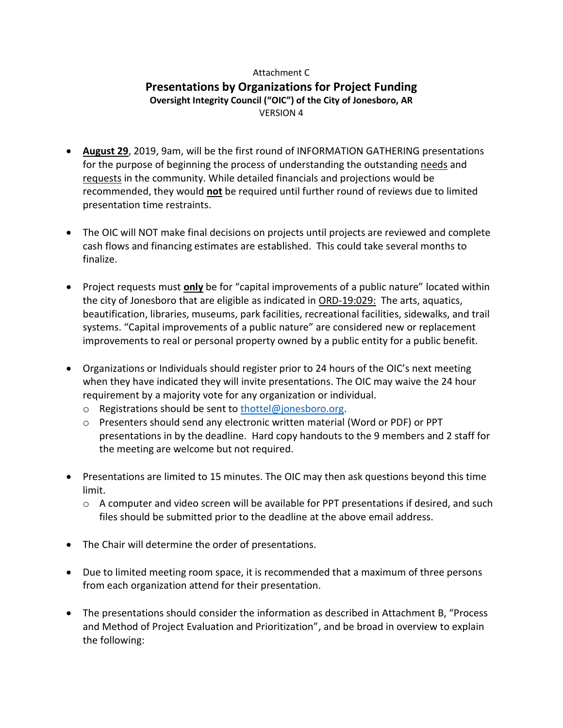## Attachment C **Presentations by Organizations for Project Funding Oversight Integrity Council ("OIC") of the City of Jonesboro, AR** VERSION 4

- **August 29**, 2019, 9am, will be the first round of INFORMATION GATHERING presentations for the purpose of beginning the process of understanding the outstanding needs and requests in the community. While detailed financials and projections would be recommended, they would **not** be required until further round of reviews due to limited presentation time restraints.
- The OIC will NOT make final decisions on projects until projects are reviewed and complete cash flows and financing estimates are established. This could take several months to finalize.
- Project requests must **only** be for "capital improvements of a public nature" located within the city of Jonesboro that are eligible as indicated in [ORD-19:029:](http://jonesboro.legistar.com/LegislationDetail.aspx?ID=3954924&GUID=28D80592-A100-4188-BC75-23A7E22C6C74&Options=ID|Text|&Search=19%3a029) The arts, aquatics, beautification, libraries, museums, park facilities, recreational facilities, sidewalks, and trail systems. "Capital improvements of a public nature" are considered new or replacement improvements to real or personal property owned by a public entity for a public benefit.
- Organizations or Individuals should register prior to 24 hours of the OIC's next meeting when they have indicated they will invite presentations. The OIC may waive the 24 hour requirement by a majority vote for any organization or individual.
	- o Registrations should be sent to [thottel@jonesboro.org.](mailto:thottel@jonesboro.org)
	- o Presenters should send any electronic written material (Word or PDF) or PPT presentations in by the deadline. Hard copy handouts to the 9 members and 2 staff for the meeting are welcome but not required.
- Presentations are limited to 15 minutes. The OIC may then ask questions beyond this time limit.
	- $\circ$  A computer and video screen will be available for PPT presentations if desired, and such files should be submitted prior to the deadline at the above email address.
- The Chair will determine the order of presentations.
- Due to limited meeting room space, it is recommended that a maximum of three persons from each organization attend for their presentation.
- The presentations should consider the information as described in Attachment B, "Process and Method of Project Evaluation and Prioritization", and be broad in overview to explain the following: